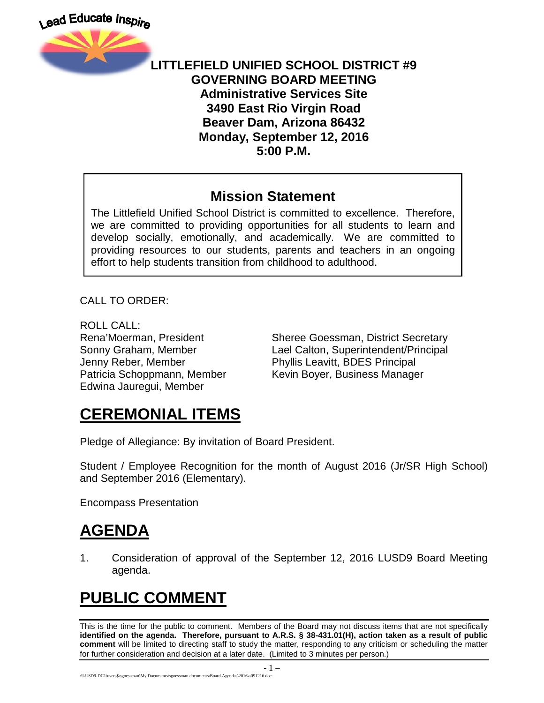

#### **LITTLEFIELD UNIFIED SCHOOL DISTRICT #9 GOVERNING BOARD MEETING Administrative Services Site 3490 East Rio Virgin Road Beaver Dam, Arizona 86432 Monday, September 12, 2016 5:00 P.M.**

#### **Mission Statement**

The Littlefield Unified School District is committed to excellence. Therefore, we are committed to providing opportunities for all students to learn and develop socially, emotionally, and academically. We are committed to providing resources to our students, parents and teachers in an ongoing effort to help students transition from childhood to adulthood.

CALL TO ORDER:

ROLL CALL: Jenny Reber, Member Phyllis Leavitt, BDES Principal Edwina Jauregui, Member

Rena'Moerman, President Sheree Goessman, District Secretary Sonny Graham, Member Lael Calton, Superintendent/Principal Patricia Schoppmann, Member Kevin Boyer, Business Manager

# **CEREMONIAL ITEMS**

Pledge of Allegiance: By invitation of Board President.

Student / Employee Recognition for the month of August 2016 (Jr/SR High School) and September 2016 (Elementary).

Encompass Presentation

## **AGENDA**

1. Consideration of approval of the September 12, 2016 LUSD9 Board Meeting agenda.

# **PUBLIC COMMENT**

This is the time for the public to comment. Members of the Board may not discuss items that are not specifically **identified on the agenda. Therefore, pursuant to A.R.S. § 38-431.01(H), action taken as a result of public comment** will be limited to directing staff to study the matter, responding to any criticism or scheduling the matter for further consideration and decision at a later date. (Limited to 3 minutes per person.)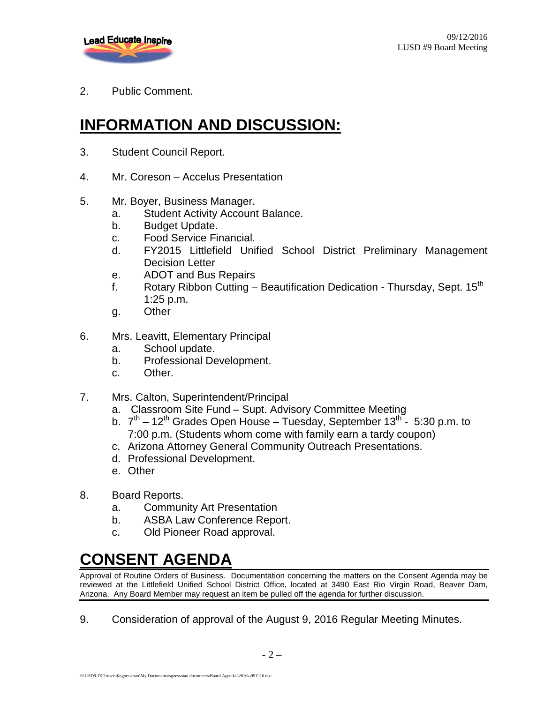

2. Public Comment.

## **INFORMATION AND DISCUSSION:**

- 3. Student Council Report.
- 4. Mr. Coreson Accelus Presentation
- 5. Mr. Boyer, Business Manager.
	- a. Student Activity Account Balance.
	- b. Budget Update.
	- c. Food Service Financial.
	- d. FY2015 Littlefield Unified School District Preliminary Management Decision Letter
	- e. ADOT and Bus Repairs
	- f. Rotary Ribbon Cutting Beautification Dedication Thursday, Sept.  $15<sup>th</sup>$ 1:25 p.m.
	- g. Other
- 6. Mrs. Leavitt, Elementary Principal
	- a. School update.
	- b. Professional Development.
	- c. Other.
- 7. Mrs. Calton, Superintendent/Principal
	- a. Classroom Site Fund Supt. Advisory Committee Meeting
	- b.  $7<sup>th</sup> 12<sup>th</sup>$  Grades Open House Tuesday, September 13<sup>th</sup> 5:30 p.m. to 7:00 p.m. (Students whom come with family earn a tardy coupon)
	- c. Arizona Attorney General Community Outreach Presentations.
	- d. Professional Development.
	- e. Other
- 8. Board Reports.
	- a. Community Art Presentation
	- b. ASBA Law Conference Report.
	- c. Old Pioneer Road approval.

# **CONSENT AGENDA**

Approval of Routine Orders of Business. Documentation concerning the matters on the Consent Agenda may be reviewed at the Littlefield Unified School District Office, located at 3490 East Rio Virgin Road, Beaver Dam, Arizona. Any Board Member may request an item be pulled off the agenda for further discussion.

9. Consideration of approval of the August 9, 2016 Regular Meeting Minutes.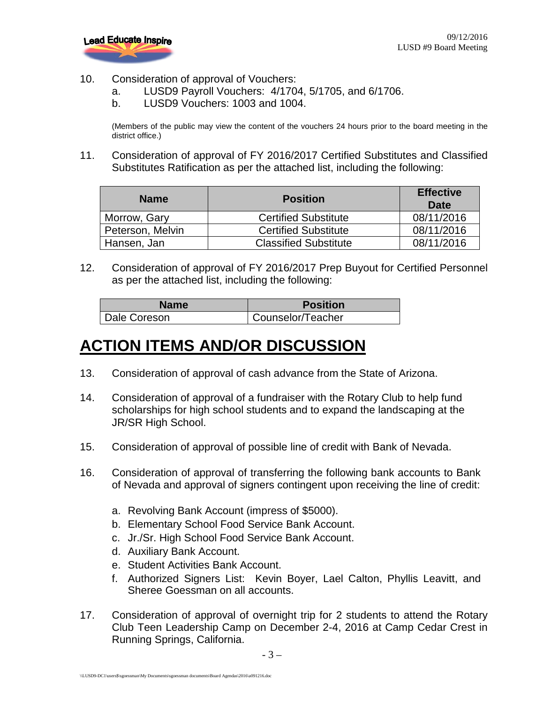

- 10. Consideration of approval of Vouchers:
	- a. LUSD9 Payroll Vouchers: 4/1704, 5/1705, and 6/1706.
	- b. LUSD9 Vouchers: 1003 and 1004.

(Members of the public may view the content of the vouchers 24 hours prior to the board meeting in the district office.)

11. Consideration of approval of FY 2016/2017 Certified Substitutes and Classified Substitutes Ratification as per the attached list, including the following:

| <b>Name</b>      | <b>Position</b>              | <b>Effective</b><br>Date |
|------------------|------------------------------|--------------------------|
| Morrow, Gary     | <b>Certified Substitute</b>  | 08/11/2016               |
| Peterson, Melvin | <b>Certified Substitute</b>  | 08/11/2016               |
| Hansen, Jan      | <b>Classified Substitute</b> | 08/11/2016               |

12. Consideration of approval of FY 2016/2017 Prep Buyout for Certified Personnel as per the attached list, including the following:

| <b>Name</b>  | <b>Position</b>   |
|--------------|-------------------|
| Dale Coreson | Counselor/Teacher |

### **ACTION ITEMS AND/OR DISCUSSION**

- 13. Consideration of approval of cash advance from the State of Arizona.
- 14. Consideration of approval of a fundraiser with the Rotary Club to help fund scholarships for high school students and to expand the landscaping at the JR/SR High School.
- 15. Consideration of approval of possible line of credit with Bank of Nevada.
- 16. Consideration of approval of transferring the following bank accounts to Bank of Nevada and approval of signers contingent upon receiving the line of credit:
	- a. Revolving Bank Account (impress of \$5000).
	- b. Elementary School Food Service Bank Account.
	- c. Jr./Sr. High School Food Service Bank Account.
	- d. Auxiliary Bank Account.
	- e. Student Activities Bank Account.
	- f. Authorized Signers List: Kevin Boyer, Lael Calton, Phyllis Leavitt, and Sheree Goessman on all accounts.
- 17. Consideration of approval of overnight trip for 2 students to attend the Rotary Club Teen Leadership Camp on December 2-4, 2016 at Camp Cedar Crest in Running Springs, California.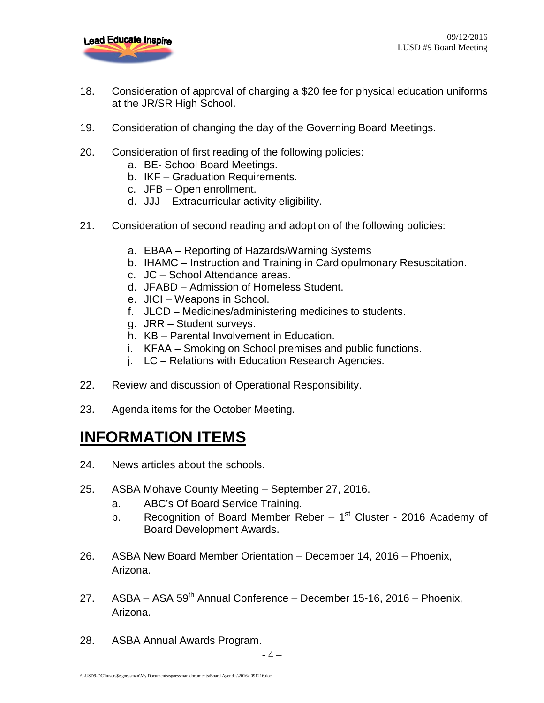

- 18. Consideration of approval of charging a \$20 fee for physical education uniforms at the JR/SR High School.
- 19. Consideration of changing the day of the Governing Board Meetings.
- 20. Consideration of first reading of the following policies:
	- a. BE- School Board Meetings.
	- b. IKF Graduation Requirements.
	- c. JFB Open enrollment.
	- d. JJJ Extracurricular activity eligibility.
- 21. Consideration of second reading and adoption of the following policies:
	- a. EBAA Reporting of Hazards/Warning Systems
	- b. IHAMC Instruction and Training in Cardiopulmonary Resuscitation.
	- c. JC School Attendance areas.
	- d. JFABD Admission of Homeless Student.
	- e. JICI Weapons in School.
	- f. JLCD Medicines/administering medicines to students.
	- g. JRR Student surveys.
	- h. KB Parental Involvement in Education.
	- i. KFAA Smoking on School premises and public functions.
	- j. LC Relations with Education Research Agencies.
- 22. Review and discussion of Operational Responsibility.
- 23. Agenda items for the October Meeting.

## **INFORMATION ITEMS**

- 24. News articles about the schools.
- 25. ASBA Mohave County Meeting September 27, 2016.
	- a. ABC's Of Board Service Training.
	- b. Recognition of Board Member Reber  $-1<sup>st</sup>$  Cluster 2016 Academy of Board Development Awards.
- 26. ASBA New Board Member Orientation December 14, 2016 Phoenix, Arizona.
- 27. ASBA ASA 59<sup>th</sup> Annual Conference December 15-16, 2016 Phoenix, Arizona.
- 28. ASBA Annual Awards Program.